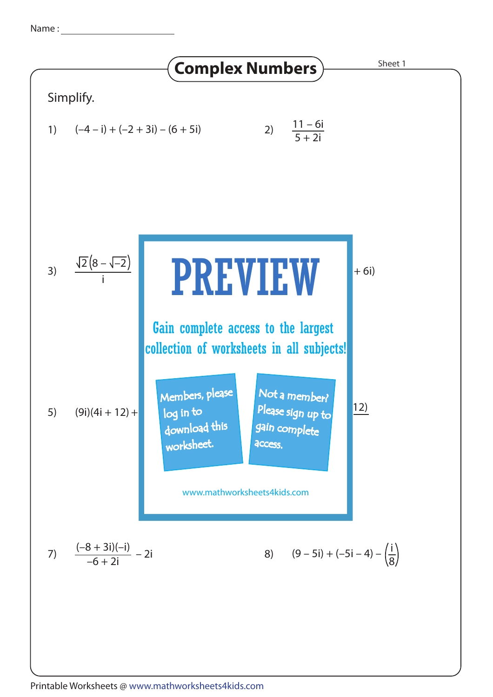